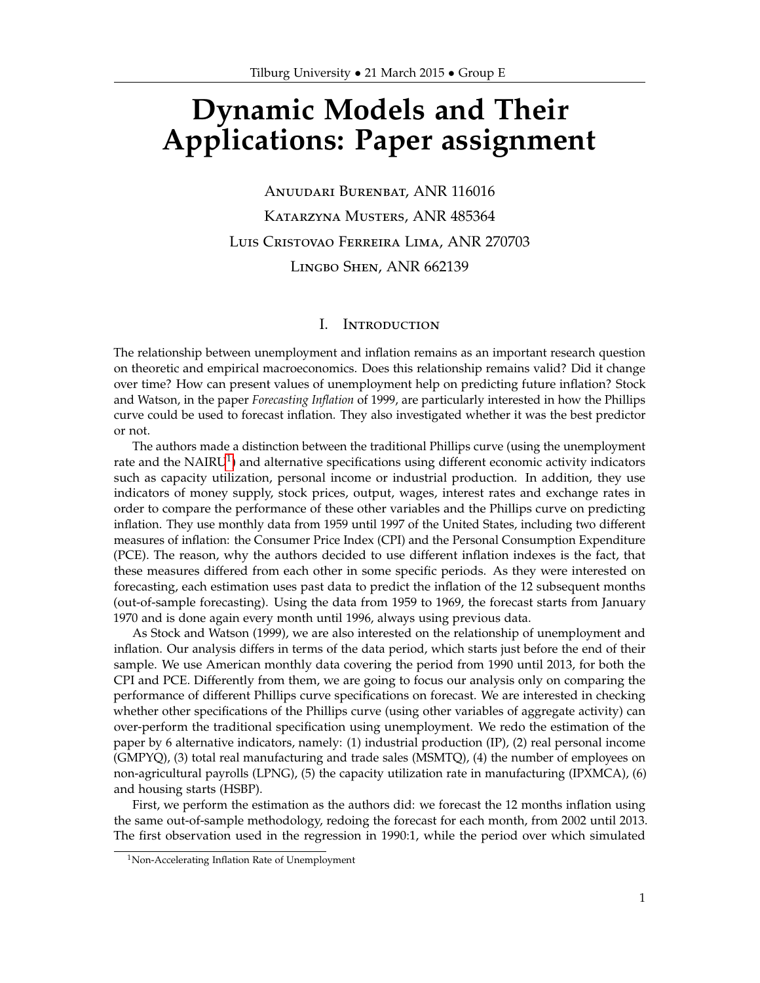# **Dynamic Models and Their Applications: Paper assignment**

Anuudari Burenbat, ANR 116016 Katarzyna Musters, ANR 485364 Luis Cristovao Ferreira Lima, ANR 270703 Lingbo Shen, ANR 662139

# I. Introduction

The relationship between unemployment and inflation remains as an important research question on theoretic and empirical macroeconomics. Does this relationship remains valid? Did it change over time? How can present values of unemployment help on predicting future inflation? Stock and Watson, in the paper *Forecasting Inflation* of 1999, are particularly interested in how the Phillips curve could be used to forecast inflation. They also investigated whether it was the best predictor or not.

The authors made a distinction between the traditional Phillips curve (using the unemployment rate and the  $NAIRU<sup>1</sup>$  $NAIRU<sup>1</sup>$  $NAIRU<sup>1</sup>$ ) and alternative specifications using different economic activity indicators such as capacity utilization, personal income or industrial production. In addition, they use indicators of money supply, stock prices, output, wages, interest rates and exchange rates in order to compare the performance of these other variables and the Phillips curve on predicting inflation. They use monthly data from 1959 until 1997 of the United States, including two different measures of inflation: the Consumer Price Index (CPI) and the Personal Consumption Expenditure (PCE). The reason, why the authors decided to use different inflation indexes is the fact, that these measures differed from each other in some specific periods. As they were interested on forecasting, each estimation uses past data to predict the inflation of the 12 subsequent months (out-of-sample forecasting). Using the data from 1959 to 1969, the forecast starts from January 1970 and is done again every month until 1996, always using previous data.

As Stock and Watson (1999), we are also interested on the relationship of unemployment and inflation. Our analysis differs in terms of the data period, which starts just before the end of their sample. We use American monthly data covering the period from 1990 until 2013, for both the CPI and PCE. Differently from them, we are going to focus our analysis only on comparing the performance of different Phillips curve specifications on forecast. We are interested in checking whether other specifications of the Phillips curve (using other variables of aggregate activity) can over-perform the traditional specification using unemployment. We redo the estimation of the paper by 6 alternative indicators, namely: (1) industrial production (IP), (2) real personal income (GMPYQ), (3) total real manufacturing and trade sales (MSMTQ), (4) the number of employees on non-agricultural payrolls (LPNG), (5) the capacity utilization rate in manufacturing (IPXMCA), (6) and housing starts (HSBP).

First, we perform the estimation as the authors did: we forecast the 12 months inflation using the same out-of-sample methodology, redoing the forecast for each month, from 2002 until 2013. The first observation used in the regression in 1990:1, while the period over which simulated

<span id="page-0-0"></span><sup>&</sup>lt;sup>1</sup>Non-Accelerating Inflation Rate of Unemployment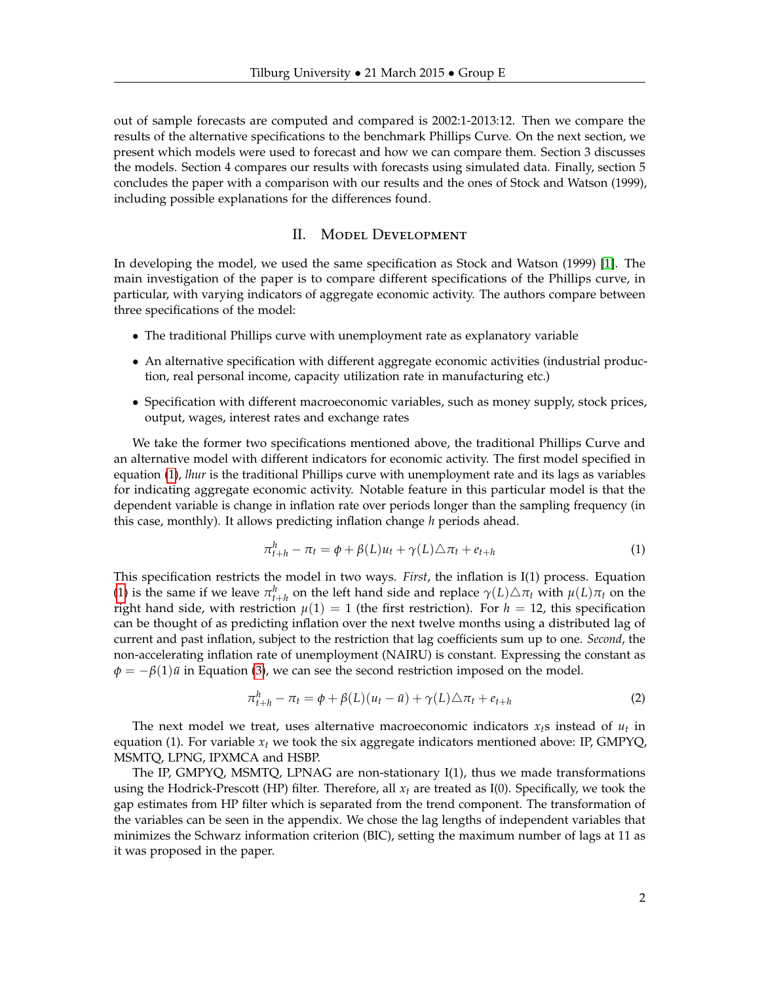out of sample forecasts are computed and compared is 2002:1-2013:12. Then we compare the results of the alternative specifications to the benchmark Phillips Curve. On the next section, we present which models were used to forecast and how we can compare them. Section 3 discusses the models. Section 4 compares our results with forecasts using simulated data. Finally, section 5 concludes the paper with a comparison with our results and the ones of Stock and Watson (1999), including possible explanations for the differences found.

# II. Model Development

In developing the model, we used the same specification as Stock and Watson (1999) [\[1\]](#page-4-0). The main investigation of the paper is to compare different specifications of the Phillips curve, in particular, with varying indicators of aggregate economic activity. The authors compare between three specifications of the model:

- The traditional Phillips curve with unemployment rate as explanatory variable
- An alternative specification with different aggregate economic activities (industrial production, real personal income, capacity utilization rate in manufacturing etc.)
- Specification with different macroeconomic variables, such as money supply, stock prices, output, wages, interest rates and exchange rates

We take the former two specifications mentioned above, the traditional Phillips Curve and an alternative model with different indicators for economic activity. The first model specified in equation [\(1\)](#page-1-0), *lhur* is the traditional Phillips curve with unemployment rate and its lags as variables for indicating aggregate economic activity. Notable feature in this particular model is that the dependent variable is change in inflation rate over periods longer than the sampling frequency (in this case, monthly). It allows predicting inflation change *h* periods ahead.

<span id="page-1-0"></span>
$$
\pi_{t+h}^h - \pi_t = \phi + \beta(L)u_t + \gamma(L)\triangle \pi_t + e_{t+h}
$$
\n(1)

This specification restricts the model in two ways. *First*, the inflation is I(1) process. Equation [\(1\)](#page-1-0) is the same if we leave  $\pi_{t+h}^h$  on the left hand side and replace  $\gamma(L)\Delta\pi_t$  with  $\mu(L)\pi_t$  on the right hand side, with restriction  $\mu(1) = 1$  (the first restriction). For  $h = 12$ , this specification can be thought of as predicting inflation over the next twelve months using a distributed lag of current and past inflation, subject to the restriction that lag coefficients sum up to one. *Second*, the non-accelerating inflation rate of unemployment (NAIRU) is constant. Expressing the constant as  $\phi = -\beta(1)\bar{u}$  in Equation [\(3\)](#page-2-0), we can see the second restriction imposed on the model.

$$
\pi_{t+h}^h - \pi_t = \phi + \beta(L)(u_t - \bar{u}) + \gamma(L)\triangle \pi_t + e_{t+h}
$$
\n(2)

The next model we treat, uses alternative macroeconomic indicators  $x_i$ s instead of  $u_t$  in equation (1). For variable  $x_t$  we took the six aggregate indicators mentioned above: IP,  $\text{GMPYQ}$ , MSMTQ, LPNG, IPXMCA and HSBP.

The IP, GMPYQ, MSMTQ, LPNAG are non-stationary I(1), thus we made transformations using the Hodrick-Prescott (HP) filter. Therefore, all *x<sup>t</sup>* are treated as I(0). Specifically, we took the gap estimates from HP filter which is separated from the trend component. The transformation of the variables can be seen in the appendix. We chose the lag lengths of independent variables that minimizes the Schwarz information criterion (BIC), setting the maximum number of lags at 11 as it was proposed in the paper.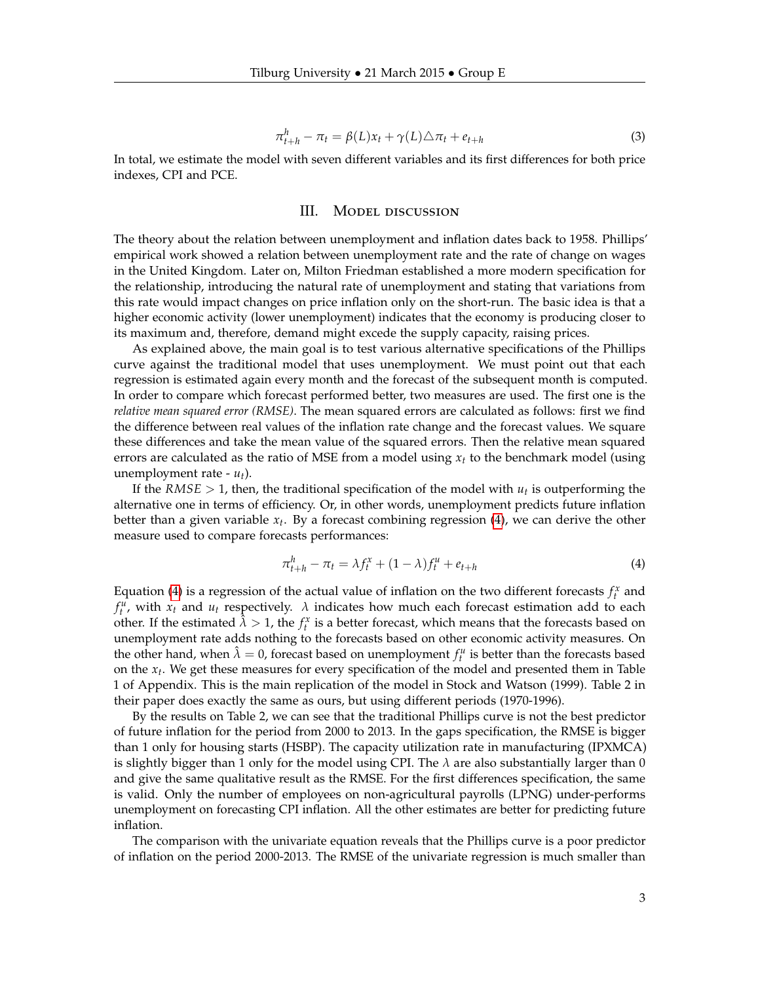<span id="page-2-0"></span>
$$
\pi_{t+h}^h - \pi_t = \beta(L)x_t + \gamma(L)\triangle \pi_t + e_{t+h}
$$
\n(3)

In total, we estimate the model with seven different variables and its first differences for both price indexes, CPI and PCE.

# III. MODEL DISCUSSION

The theory about the relation between unemployment and inflation dates back to 1958. Phillips' empirical work showed a relation between unemployment rate and the rate of change on wages in the United Kingdom. Later on, Milton Friedman established a more modern specification for the relationship, introducing the natural rate of unemployment and stating that variations from this rate would impact changes on price inflation only on the short-run. The basic idea is that a higher economic activity (lower unemployment) indicates that the economy is producing closer to its maximum and, therefore, demand might excede the supply capacity, raising prices.

As explained above, the main goal is to test various alternative specifications of the Phillips curve against the traditional model that uses unemployment. We must point out that each regression is estimated again every month and the forecast of the subsequent month is computed. In order to compare which forecast performed better, two measures are used. The first one is the *relative mean squared error (RMSE)*. The mean squared errors are calculated as follows: first we find the difference between real values of the inflation rate change and the forecast values. We square these differences and take the mean value of the squared errors. Then the relative mean squared errors are calculated as the ratio of MSE from a model using *x<sup>t</sup>* to the benchmark model (using unemployment rate - *ut*).

If the  $RMSE > 1$ , then, the traditional specification of the model with  $u_t$  is outperforming the alternative one in terms of efficiency. Or, in other words, unemployment predicts future inflation better than a given variable *x<sup>t</sup>* . By a forecast combining regression [\(4\)](#page-2-1), we can derive the other measure used to compare forecasts performances:

<span id="page-2-1"></span>
$$
\pi_{t+h}^h - \pi_t = \lambda f_t^x + (1 - \lambda) f_t^u + e_{t+h}
$$
\n(4)

Equation [\(4\)](#page-2-1) is a regression of the actual value of inflation on the two different forecasts  $f_t^x$  and  $f_t^u$ , with  $x_t$  and  $u_t$  respectively.  $\lambda$  indicates how much each forecast estimation add to each other. If the estimated  $\hat{\lambda} > 1$ , the  $f_t^x$  is a better forecast, which means that the forecasts based on unemployment rate adds nothing to the forecasts based on other economic activity measures. On the other hand, when  $\hat{\lambda} = 0$ , forecast based on unemployment  $f_t^u$  is better than the forecasts based on the *x<sup>t</sup>* . We get these measures for every specification of the model and presented them in Table 1 of Appendix. This is the main replication of the model in Stock and Watson (1999). Table 2 in their paper does exactly the same as ours, but using different periods (1970-1996).

By the results on Table 2, we can see that the traditional Phillips curve is not the best predictor of future inflation for the period from 2000 to 2013. In the gaps specification, the RMSE is bigger than 1 only for housing starts (HSBP). The capacity utilization rate in manufacturing (IPXMCA) is slightly bigger than 1 only for the model using CPI. The  $\lambda$  are also substantially larger than 0 and give the same qualitative result as the RMSE. For the first differences specification, the same is valid. Only the number of employees on non-agricultural payrolls (LPNG) under-performs unemployment on forecasting CPI inflation. All the other estimates are better for predicting future inflation.

The comparison with the univariate equation reveals that the Phillips curve is a poor predictor of inflation on the period 2000-2013. The RMSE of the univariate regression is much smaller than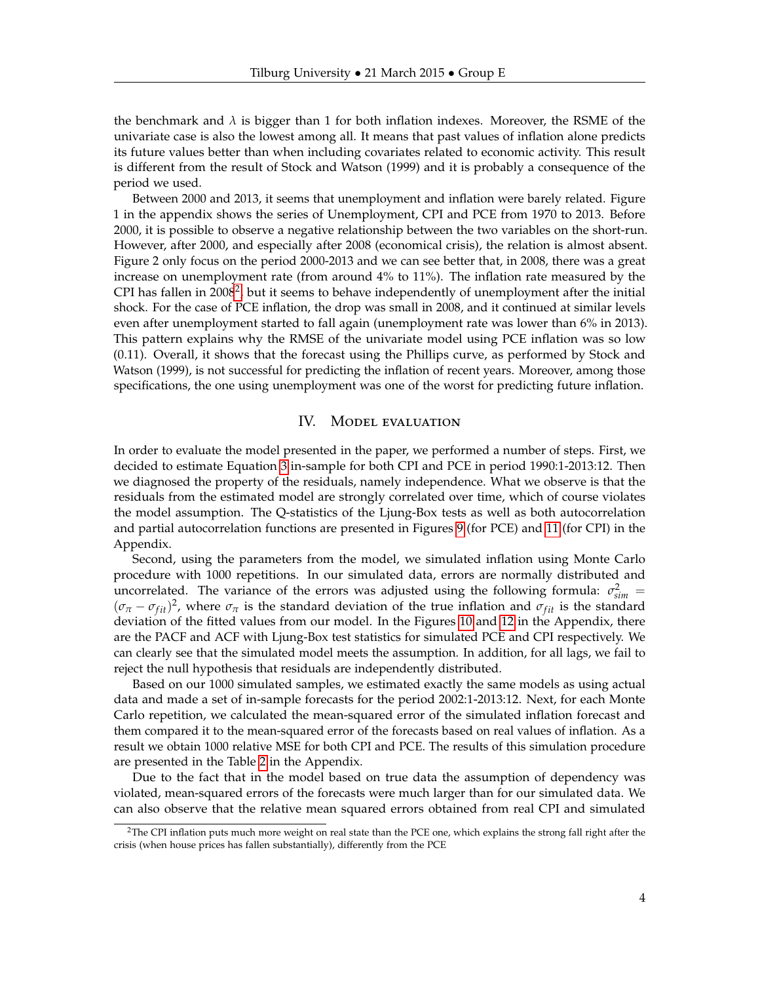the benchmark and  $\lambda$  is bigger than 1 for both inflation indexes. Moreover, the RSME of the univariate case is also the lowest among all. It means that past values of inflation alone predicts its future values better than when including covariates related to economic activity. This result is different from the result of Stock and Watson (1999) and it is probably a consequence of the period we used.

Between 2000 and 2013, it seems that unemployment and inflation were barely related. Figure 1 in the appendix shows the series of Unemployment, CPI and PCE from 1970 to 2013. Before 2000, it is possible to observe a negative relationship between the two variables on the short-run. However, after 2000, and especially after 2008 (economical crisis), the relation is almost absent. Figure 2 only focus on the period 2000-2013 and we can see better that, in 2008, there was a great increase on unemployment rate (from around 4% to 11%). The inflation rate measured by the CPI has fallen in [2](#page-3-0)008<sup>2</sup>, but it seems to behave independently of unemployment after the initial shock. For the case of PCE inflation, the drop was small in 2008, and it continued at similar levels even after unemployment started to fall again (unemployment rate was lower than 6% in 2013). This pattern explains why the RMSE of the univariate model using PCE inflation was so low (0.11). Overall, it shows that the forecast using the Phillips curve, as performed by Stock and Watson (1999), is not successful for predicting the inflation of recent years. Moreover, among those specifications, the one using unemployment was one of the worst for predicting future inflation.

# IV. Model evaluation

In order to evaluate the model presented in the paper, we performed a number of steps. First, we decided to estimate Equation [3](#page-2-0) in-sample for both CPI and PCE in period 1990:1-2013:12. Then we diagnosed the property of the residuals, namely independence. What we observe is that the residuals from the estimated model are strongly correlated over time, which of course violates the model assumption. The Q-statistics of the Ljung-Box tests as well as both autocorrelation and partial autocorrelation functions are presented in Figures [9](#page-10-0) (for PCE) and [11](#page-12-0) (for CPI) in the Appendix.

Second, using the parameters from the model, we simulated inflation using Monte Carlo procedure with 1000 repetitions. In our simulated data, errors are normally distributed and uncorrelated. The variance of the errors was adjusted using the following formula:  $\sigma_{sim}^2$  $(\sigma_{\pi} - \sigma_{fit})^2$ , where  $\sigma_{\pi}$  is the standard deviation of the true inflation and  $\sigma_{fit}$  is the standard deviation of the fitted values from our model. In the Figures [10](#page-11-0) and [12](#page-13-0) in the Appendix, there are the PACF and ACF with Ljung-Box test statistics for simulated PCE and CPI respectively. We can clearly see that the simulated model meets the assumption. In addition, for all lags, we fail to reject the null hypothesis that residuals are independently distributed.

Based on our 1000 simulated samples, we estimated exactly the same models as using actual data and made a set of in-sample forecasts for the period 2002:1-2013:12. Next, for each Monte Carlo repetition, we calculated the mean-squared error of the simulated inflation forecast and them compared it to the mean-squared error of the forecasts based on real values of inflation. As a result we obtain 1000 relative MSE for both CPI and PCE. The results of this simulation procedure are presented in the Table [2](#page-5-0) in the Appendix.

Due to the fact that in the model based on true data the assumption of dependency was violated, mean-squared errors of the forecasts were much larger than for our simulated data. We can also observe that the relative mean squared errors obtained from real CPI and simulated

<span id="page-3-0"></span><sup>&</sup>lt;sup>2</sup>The CPI inflation puts much more weight on real state than the PCE one, which explains the strong fall right after the crisis (when house prices has fallen substantially), differently from the PCE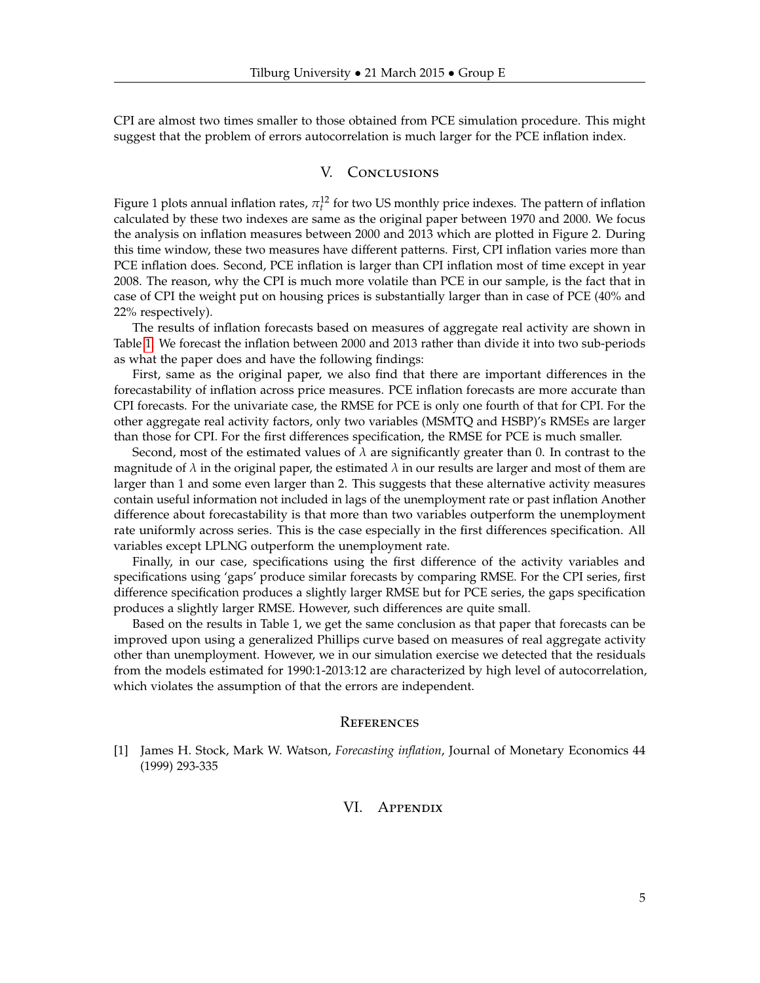CPI are almost two times smaller to those obtained from PCE simulation procedure. This might suggest that the problem of errors autocorrelation is much larger for the PCE inflation index.

# V. Conclusions

Figure 1 plots annual inflation rates,  $\pi_l^{12}$  for two US monthly price indexes. The pattern of inflation calculated by these two indexes are same as the original paper between 1970 and 2000. We focus the analysis on inflation measures between 2000 and 2013 which are plotted in Figure 2. During this time window, these two measures have different patterns. First, CPI inflation varies more than PCE inflation does. Second, PCE inflation is larger than CPI inflation most of time except in year 2008. The reason, why the CPI is much more volatile than PCE in our sample, is the fact that in case of CPI the weight put on housing prices is substantially larger than in case of PCE (40% and 22% respectively).

The results of inflation forecasts based on measures of aggregate real activity are shown in Table [1.](#page-5-1) We forecast the inflation between 2000 and 2013 rather than divide it into two sub-periods as what the paper does and have the following findings:

First, same as the original paper, we also find that there are important differences in the forecastability of inflation across price measures. PCE inflation forecasts are more accurate than CPI forecasts. For the univariate case, the RMSE for PCE is only one fourth of that for CPI. For the other aggregate real activity factors, only two variables (MSMTQ and HSBP)'s RMSEs are larger than those for CPI. For the first differences specification, the RMSE for PCE is much smaller.

Second, most of the estimated values of  $\lambda$  are significantly greater than 0. In contrast to the magnitude of  $\lambda$  in the original paper, the estimated  $\lambda$  in our results are larger and most of them are larger than 1 and some even larger than 2. This suggests that these alternative activity measures contain useful information not included in lags of the unemployment rate or past inflation Another difference about forecastability is that more than two variables outperform the unemployment rate uniformly across series. This is the case especially in the first differences specification. All variables except LPLNG outperform the unemployment rate.

Finally, in our case, specifications using the first difference of the activity variables and specifications using 'gaps' produce similar forecasts by comparing RMSE. For the CPI series, first difference specification produces a slightly larger RMSE but for PCE series, the gaps specification produces a slightly larger RMSE. However, such differences are quite small.

Based on the results in Table 1, we get the same conclusion as that paper that forecasts can be improved upon using a generalized Phillips curve based on measures of real aggregate activity other than unemployment. However, we in our simulation exercise we detected that the residuals from the models estimated for 1990:1-2013:12 are characterized by high level of autocorrelation, which violates the assumption of that the errors are independent.

#### **REFERENCES**

<span id="page-4-0"></span>[1] James H. Stock, Mark W. Watson, *Forecasting inflation*, Journal of Monetary Economics 44 (1999) 293-335

# VI. Appendix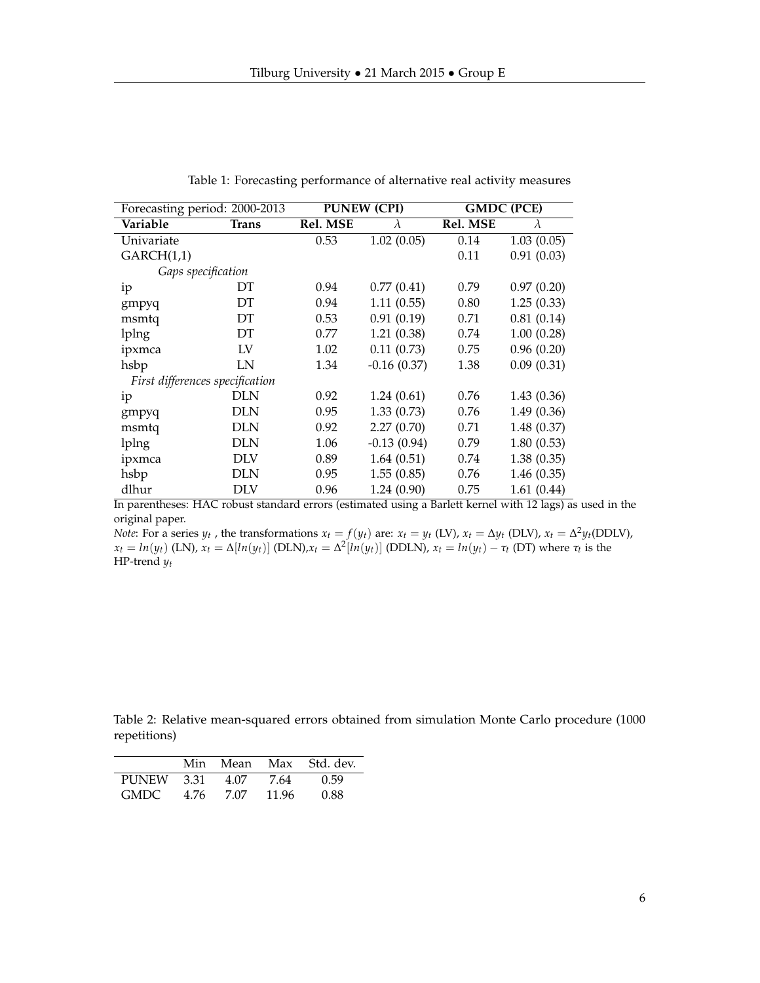<span id="page-5-1"></span>

| Forecasting period: 2000-2013   |              |          | <b>PUNEW (CPI)</b> | <b>GMDC (PCE)</b> |            |  |  |  |
|---------------------------------|--------------|----------|--------------------|-------------------|------------|--|--|--|
| Variable                        | <b>Trans</b> | Rel. MSE | $\lambda$          | Rel. MSE          | $\lambda$  |  |  |  |
| Univariate                      |              | 0.53     | 1.02(0.05)         | 0.14              | 1.03(0.05) |  |  |  |
| GARCH(1,1)                      |              |          |                    | 0.11              | 0.91(0.03) |  |  |  |
| Gaps specification              |              |          |                    |                   |            |  |  |  |
| ip                              | DТ           | 0.94     | 0.77(0.41)         | 0.79              | 0.97(0.20) |  |  |  |
| gmpyq                           | DT           | 0.94     | 1.11(0.55)         | 0.80              | 1.25(0.33) |  |  |  |
| msmtq                           | DT           | 0.53     | 0.91(0.19)         | 0.71              | 0.81(0.14) |  |  |  |
| lplng                           | DT           | 0.77     | 1.21(0.38)         | 0.74              | 1.00(0.28) |  |  |  |
| ipxmca                          | LV           | 1.02     | 0.11(0.73)         | 0.75              | 0.96(0.20) |  |  |  |
| hsbp                            | LN           | 1.34     | $-0.16(0.37)$      | 1.38              | 0.09(0.31) |  |  |  |
| First differences specification |              |          |                    |                   |            |  |  |  |
| ip                              | DLN          | 0.92     | 1.24(0.61)         | 0.76              | 1.43(0.36) |  |  |  |
| gmpyq                           | DLN          | 0.95     | 1.33(0.73)         | 0.76              | 1.49(0.36) |  |  |  |
| msmtq                           | DLN          | 0.92     | 2.27(0.70)         | 0.71              | 1.48(0.37) |  |  |  |
| lplng                           | <b>DLN</b>   | 1.06     | $-0.13(0.94)$      | 0.79              | 1.80(0.53) |  |  |  |
| ipxmca                          | DLV          | 0.89     | 1.64(0.51)         | 0.74              | 1.38(0.35) |  |  |  |
| hsbp                            | DLN          | 0.95     | 1.55(0.85)         | 0.76              | 1.46(0.35) |  |  |  |
| dlhur                           | DLV          | 0.96     | 1.24(0.90)         | 0.75              | 1.61(0.44) |  |  |  |

Table 1: Forecasting performance of alternative real activity measures

In parentheses: HAC robust standard errors (estimated using a Barlett kernel with 12 lags) as used in the original paper.

*Note*: For a series  $y_t$ , the transformations  $x_t = f(y_t)$  are:  $x_t = y_t$  (LV),  $x_t = \Delta y_t$  (DLV),  $x_t = \Delta^2 y_t$ (DDLV),  $x_t = ln(y_t)$  (LN),  $x_t = \Delta[ln(y_t)]$  (DLN), $x_t = \Delta^2[ln(y_t)]$  (DDLN),  $x_t = ln(y_t) - \tau_t$  (DT) where  $\tau_t$  is the HP-trend *yt*

<span id="page-5-0"></span>Table 2: Relative mean-squared errors obtained from simulation Monte Carlo procedure (1000 repetitions)

|             | Min  | Mean |       | Max Std. dev. |
|-------------|------|------|-------|---------------|
| PUNEW       | 3.31 | 4.07 | 7.64  | 0.59          |
| <b>GMDC</b> | 4.76 | 7.07 | 11.96 | 0.88          |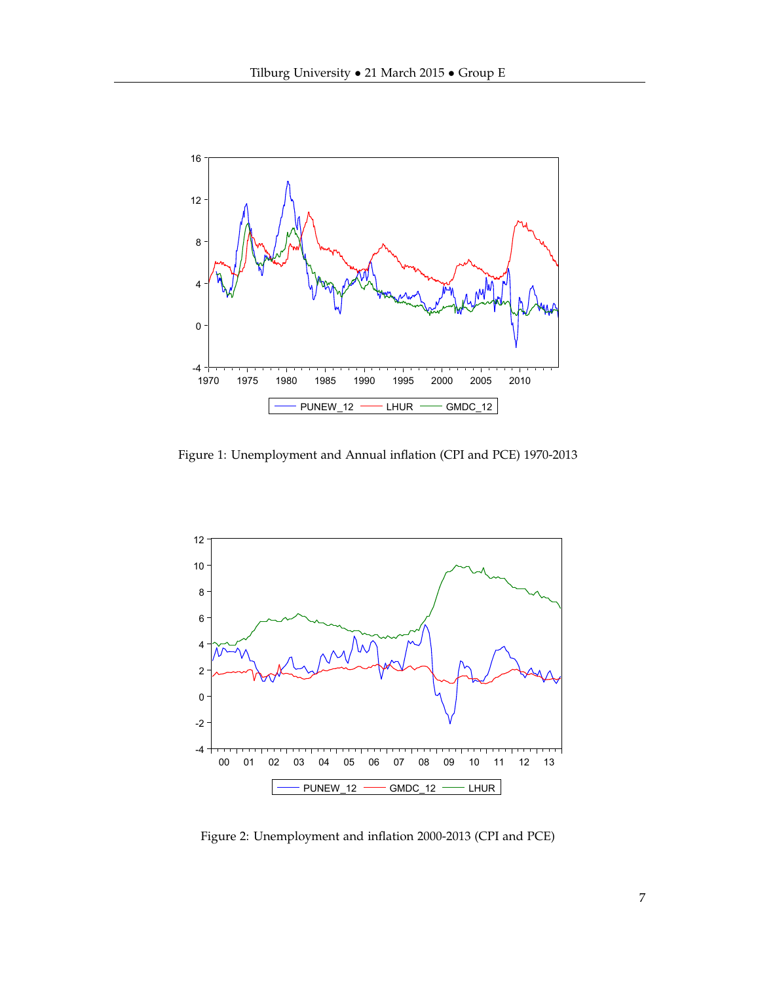

Figure 1: Unemployment and Annual inflation (CPI and PCE) 1970-2013



Figure 2: Unemployment and inflation 2000-2013 (CPI and PCE)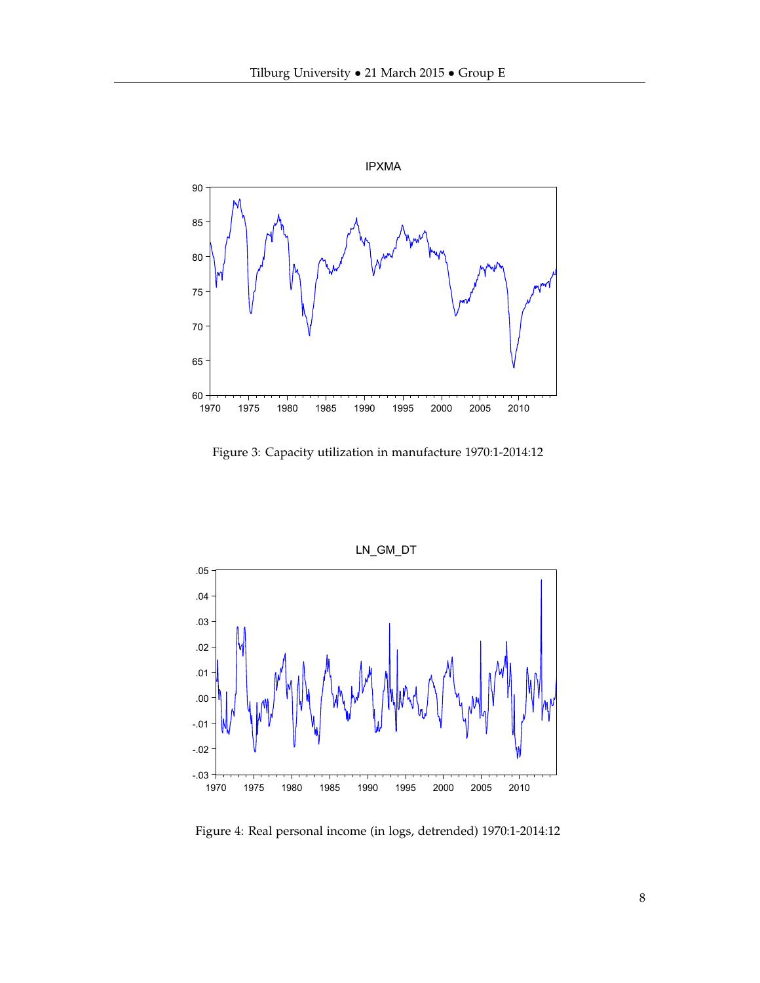

Figure 3: Capacity utilization in manufacture 1970:1-2014:12



Figure 4: Real personal income (in logs, detrended) 1970:1-2014:12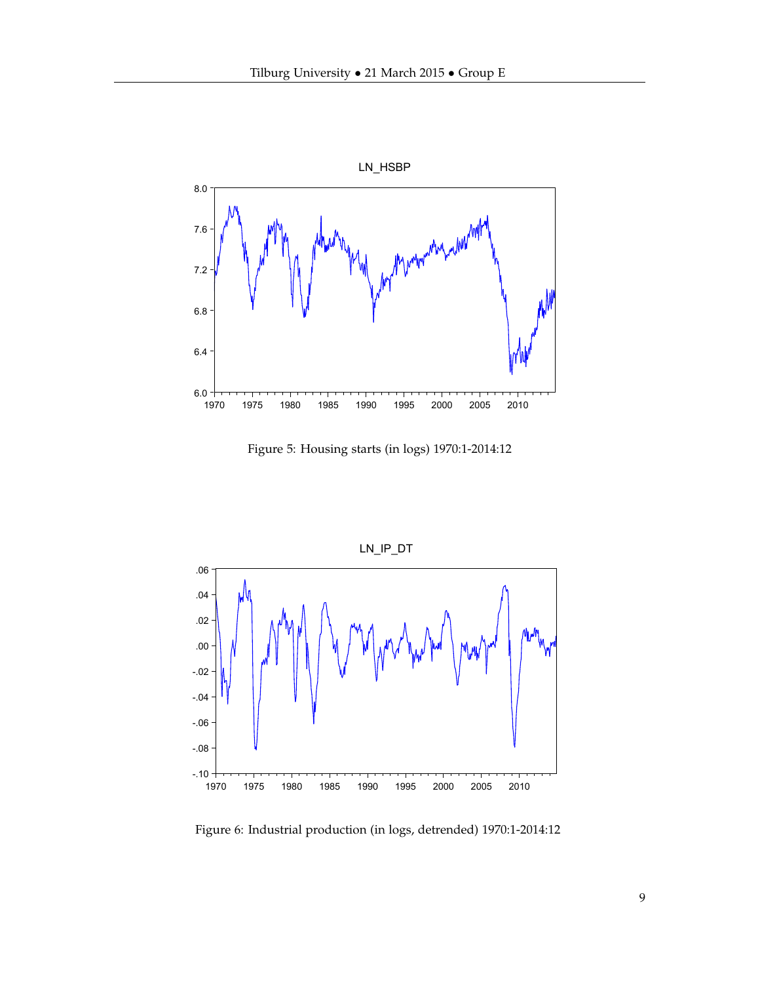

Figure 5: Housing starts (in logs) 1970:1-2014:12



Figure 6: Industrial production (in logs, detrended) 1970:1-2014:12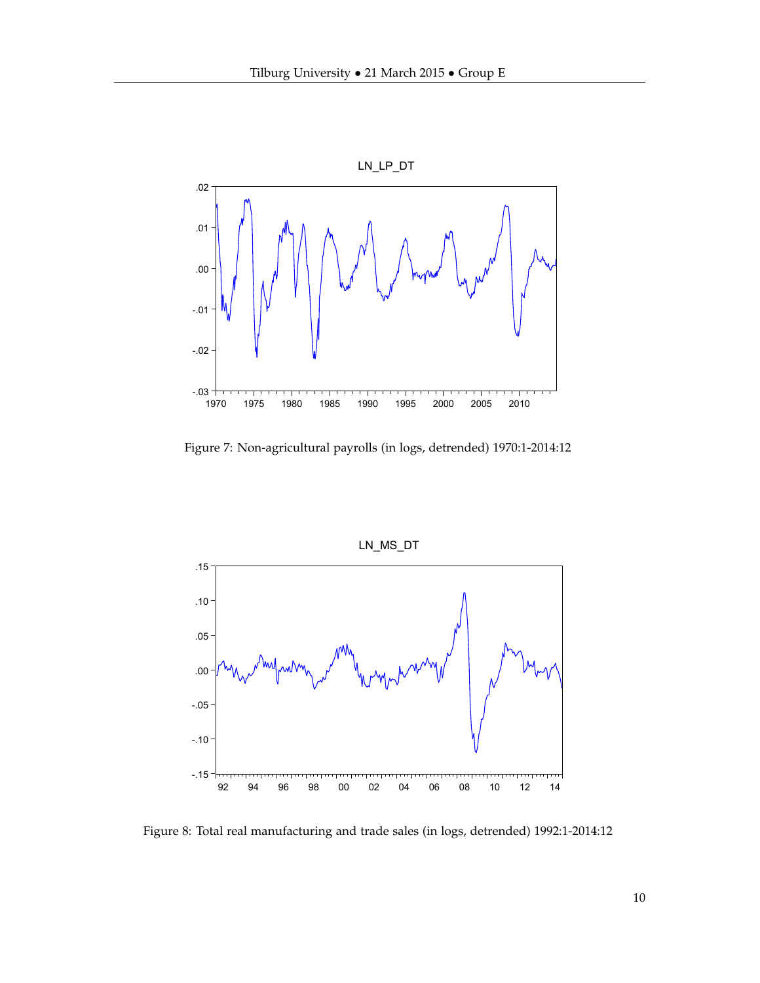

Figure 7: Non-agricultural payrolls (in logs, detrended) 1970:1-2014:12



Figure 8: Total real manufacturing and trade sales (in logs, detrended) 1992:1-2014:12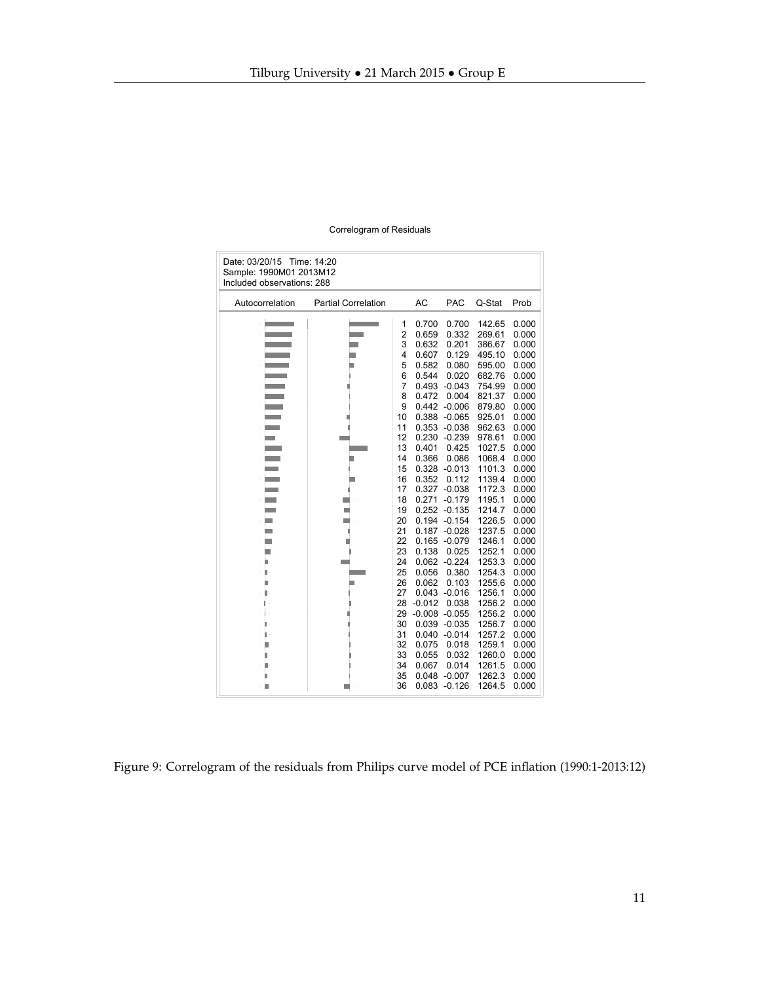<span id="page-10-0"></span>

| Date: 03/20/15<br>Time: 14:20<br>Sample: 1990M01 2013M12<br>Included observations: 288 |                                                                                                                      |                                                                                                              |                                                                                                                                                                      |                                                                                                                                                                                                 |                                                                                                                                                                                  |                                                                                                                                                                         |  |  |
|----------------------------------------------------------------------------------------|----------------------------------------------------------------------------------------------------------------------|--------------------------------------------------------------------------------------------------------------|----------------------------------------------------------------------------------------------------------------------------------------------------------------------|-------------------------------------------------------------------------------------------------------------------------------------------------------------------------------------------------|----------------------------------------------------------------------------------------------------------------------------------------------------------------------------------|-------------------------------------------------------------------------------------------------------------------------------------------------------------------------|--|--|
| Autocorrelation                                                                        | <b>Partial Correlation</b>                                                                                           |                                                                                                              | AC                                                                                                                                                                   | <b>PAC</b>                                                                                                                                                                                      | Q-Stat                                                                                                                                                                           | Prob                                                                                                                                                                    |  |  |
|                                                                                        | <b>STATE OF STATE OF STATE OF STATE OF STATE OF STATE OF STATE OF STATE OF STATE OF STATE OF STATE OF STATE OF S</b> | 1<br>$\overline{2}$<br>3<br>4<br>5<br>6<br>7<br>8<br>9<br>10<br>11<br>12<br>13<br>14<br>15<br>16<br>17<br>18 | 0.700<br>0.659<br>0.632<br>0.607<br>0.582<br>0.544<br>0.493<br>0.472<br>0.442<br>0.388<br>0.353<br>0.230<br>0.401<br>0.366<br>0.328<br>0.352<br>0.327<br>0.271       | 0.700<br>0.332<br>0.201<br>0.129<br>0.080<br>0.020<br>$-0.043$<br>0.004<br>$-0.006$<br>$-0.065$<br>$-0.038$<br>$-0.239$<br>0.425<br>0.086<br>$-0.013$<br>0.112<br>$-0.038$<br>$-0.179$          | 142.65<br>269.61<br>386.67<br>495.10<br>595.00<br>682.76<br>754.99<br>821.37<br>879.80<br>925.01<br>962.63<br>978.61<br>1027.5<br>1068.4<br>1101.3<br>1139.4<br>1172.3<br>1195.1 | 0.000<br>0.000<br>0.000<br>0.000<br>0.000<br>0.000<br>0.000<br>0.000<br>0.000<br>0.000<br>0.000<br>0.000<br>0.000<br>0.000<br>0.000<br>0.000<br>0.000                   |  |  |
|                                                                                        |                                                                                                                      | 19<br>20<br>21<br>22<br>23<br>24<br>25<br>26<br>27<br>28<br>29<br>30<br>31<br>32<br>33<br>34<br>35<br>36     | 0.252<br>0.194<br>0.187<br>0.165<br>0.138<br>0.062<br>0.056<br>0.062<br>0.043<br>$-0.012$<br>$-0.008$<br>0.039<br>0.040<br>0.075<br>0.055<br>0.067<br>0.048<br>0.083 | $-0.135$<br>$-0.154$<br>$-0.028$<br>$-0.079$<br>0.025<br>$-0.224$<br>0.380<br>0.103<br>$-0.016$<br>0.038<br>$-0.055$<br>$-0.035$<br>$-0.014$<br>0.018<br>0.032<br>0.014<br>$-0.007$<br>$-0.126$ | 1214.7<br>1226.5<br>1237.5<br>1246.1<br>1252.1<br>1253.3<br>1254.3<br>1255.6<br>1256.1<br>1256.2<br>1256.2<br>1256.7<br>1257.2<br>1259.1<br>1260.0<br>1261.5<br>1262.3<br>1264.5 | 0.000<br>0.000<br>0.000<br>0.000<br>0.000<br>0.000<br>0.000<br>0.000<br>0.000<br>0.000<br>0.000<br>0.000<br>0.000<br>0.000<br>0.000<br>0.000<br>0.000<br>0.000<br>0.000 |  |  |

l.

Figure 9: Correlogram of the residuals from Philips curve model of PCE inflation (1990:1-2013:12)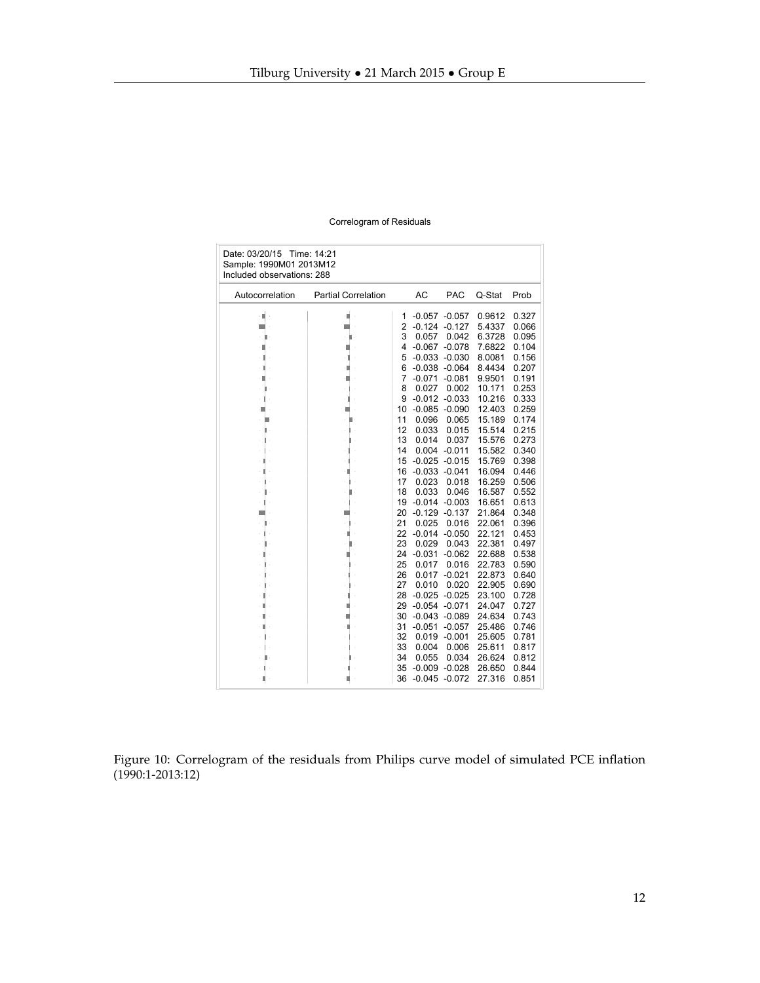<span id="page-11-0"></span>

| Date: 03/20/15 Time: 14:21<br>Sample: 1990M01 2013M12<br>Included observations: 288 |                            |                |                      |                      |                  |                |  |  |
|-------------------------------------------------------------------------------------|----------------------------|----------------|----------------------|----------------------|------------------|----------------|--|--|
| Autocorrelation                                                                     | <b>Partial Correlation</b> |                | <b>AC</b>            | <b>PAC</b>           | Q-Stat           | Prob           |  |  |
| ۰                                                                                   | п                          | 1              | $-0.057$             | $-0.057$             | 0.9612           | 0.327          |  |  |
|                                                                                     |                            | $\overline{2}$ | $-0.124$             | $-0.127$             | 5.4337           | 0.066          |  |  |
|                                                                                     |                            | 3              | 0.057                | 0.042                | 6.3728           | 0.095          |  |  |
|                                                                                     |                            | 4              | $-0.067$             | $-0.078$             | 7.6822           | 0.104          |  |  |
|                                                                                     |                            | 5              | $-0.033$             | $-0.030$             | 8.0081           | 0.156          |  |  |
|                                                                                     |                            | 6              | $-0.038$             | $-0.064$             | 8.4434           | 0.207          |  |  |
|                                                                                     |                            | 7              | $-0.071$             | $-0.081$             | 9.9501           | 0.191          |  |  |
|                                                                                     |                            | 8              | 0.027                | 0.002                | 10.171           | 0.253          |  |  |
|                                                                                     |                            | 9              | $-0.012$             | $-0.033$             | 10.216           | 0.333          |  |  |
|                                                                                     |                            | 10             | $-0.085$             | $-0.090$             | 12.403           | 0.259          |  |  |
|                                                                                     |                            | 11             | 0.096                | 0.065                | 15.189           | 0.174          |  |  |
|                                                                                     |                            | 12             | 0.033                | 0.015                | 15.514           | 0.215          |  |  |
|                                                                                     |                            | 13             | 0.014                | 0.037                | 15.576           | 0.273          |  |  |
|                                                                                     |                            | 14             | 0.004                | $-0.011$             | 15.582           | 0.340          |  |  |
|                                                                                     |                            | 15             | $-0.025$             | $-0.015$             | 15.769           | 0.398          |  |  |
|                                                                                     |                            | 16             | $-0.033$             | $-0.041$             | 16.094           | 0.446          |  |  |
|                                                                                     |                            | 17             | 0.023                | 0.018                | 16.259           | 0.506          |  |  |
|                                                                                     |                            | 18             | 0.033                | 0.046                | 16.587           | 0.552          |  |  |
|                                                                                     |                            | 19             | $-0.014$             | $-0.003$             | 16.651           | 0.613          |  |  |
|                                                                                     |                            | 20             | $-0.129$             | $-0.137$             | 21.864           | 0.348          |  |  |
|                                                                                     |                            | 21             | 0.025                | 0.016                | 22.061           | 0.396          |  |  |
|                                                                                     |                            | 22             | $-0.014$             | $-0.050$             | 22.121           | 0.453          |  |  |
|                                                                                     |                            | 23             | 0.029                | 0.043                | 22.381           | 0.497          |  |  |
|                                                                                     |                            | 24             | $-0.031$             | $-0.062$             | 22.688           | 0.538          |  |  |
|                                                                                     |                            | 25             | 0.017                | 0.016                | 22.783           | 0.590          |  |  |
|                                                                                     |                            | 26             | 0.017                | $-0.021$             | 22.873           | 0.640          |  |  |
|                                                                                     |                            | 27             | 0.010                | 0.020                | 22.905           | 0.690          |  |  |
|                                                                                     |                            | 28             | $-0.025$             | $-0.025$             | 23.100           | 0.728          |  |  |
|                                                                                     |                            | 29             | $-0.054$             | $-0.071$             | 24.047           | 0.727          |  |  |
|                                                                                     |                            | 30<br>31       | $-0.043$<br>$-0.051$ | $-0.089$             | 24.634           | 0.743<br>0.746 |  |  |
|                                                                                     |                            | 32             | 0.019                | $-0.057$<br>$-0.001$ | 25.486<br>25.605 | 0.781          |  |  |
|                                                                                     |                            |                |                      |                      |                  |                |  |  |
|                                                                                     |                            | 33<br>34       | 0.004<br>0.055       | 0.006                | 25.611           | 0.817<br>0.812 |  |  |
|                                                                                     |                            |                | $-0.009$             | 0.034<br>$-0.028$    | 26.624<br>26.650 | 0.844          |  |  |
|                                                                                     |                            | 35<br>36       |                      |                      |                  |                |  |  |
|                                                                                     |                            |                |                      | $-0.045 -0.072$      | 27.316           | 0.851          |  |  |

Figure 10: Correlogram of the residuals from Philips curve model of simulated PCE inflation (1990:1-2013:12)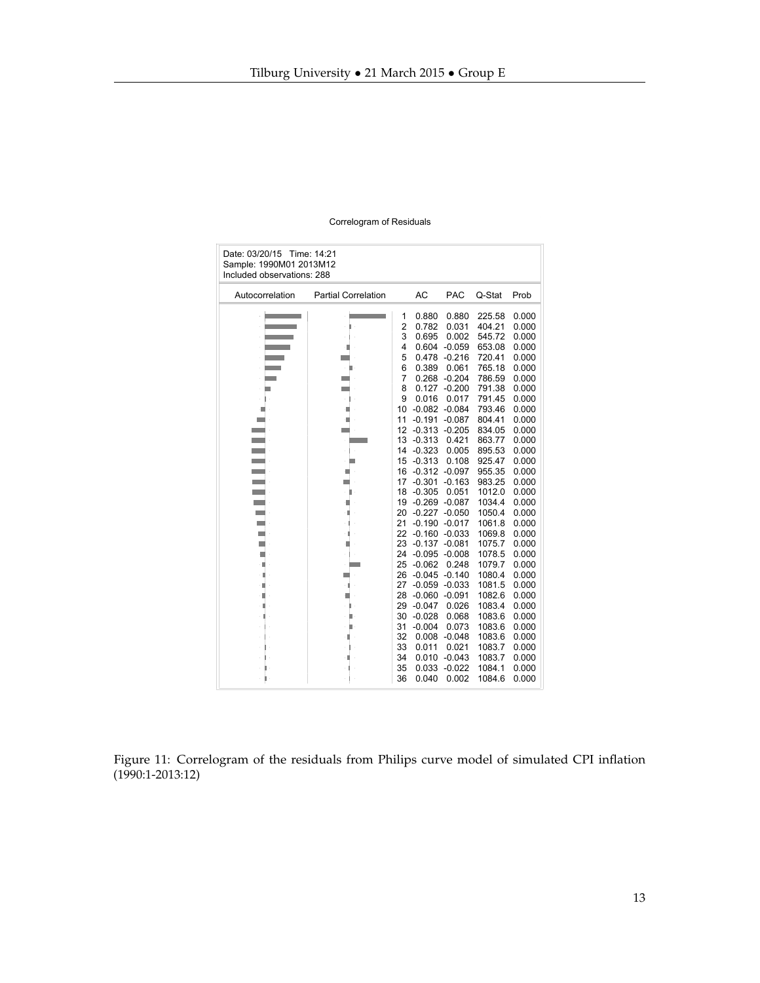<span id="page-12-0"></span>

| Date: 03/20/15 Time: 14:21<br>Sample: 1990M01 2013M12<br>Included observations: 288 |                            |          |                      |                   |                  |                |  |
|-------------------------------------------------------------------------------------|----------------------------|----------|----------------------|-------------------|------------------|----------------|--|
| Autocorrelation                                                                     | <b>Partial Correlation</b> |          | AC                   | <b>PAC</b>        | Q-Stat           | Prob           |  |
|                                                                                     |                            | 1        | 0.880                | 0.880             | 225.58           | 0.000          |  |
|                                                                                     | П                          | 2        | 0.782                | 0.031             | 404.21           | 0.000          |  |
|                                                                                     |                            | 3        | 0.695                | 0.002             | 545.72           | 0.000          |  |
|                                                                                     |                            | 4        | 0.604                | $-0.059$          | 653.08           | 0.000          |  |
|                                                                                     |                            | 5        | 0.478                | $-0.216$          | 720.41           | 0.000          |  |
|                                                                                     |                            | 6        | 0.389                | 0.061             | 765.18           | 0.000          |  |
|                                                                                     |                            | 7        | 0.268                | $-0.204$          | 786.59           | 0.000          |  |
|                                                                                     |                            | 8        | 0.127                | $-0.200$          | 791.38           | 0.000          |  |
|                                                                                     |                            | 9        | 0.016                | 0.017             | 791.45           | 0.000          |  |
|                                                                                     |                            | 10       | $-0.082$             | $-0.084$          | 793.46           | 0.000          |  |
|                                                                                     |                            | 11       | $-0.191$             | $-0.087$          | 804.41           | 0.000          |  |
|                                                                                     |                            | 12       | $-0.313$<br>$-0.313$ | $-0.205$<br>0.421 | 834.05<br>863.77 | 0.000          |  |
|                                                                                     |                            | 13<br>14 | $-0.323$             | 0.005             |                  | 0.000<br>0.000 |  |
|                                                                                     |                            |          | $-0.313$             | 0.108             | 895.53<br>925.47 | 0.000          |  |
|                                                                                     |                            | 15<br>16 | $-0.312$             | $-0.097$          | 955.35           | 0.000          |  |
|                                                                                     |                            | 17       | $-0.301$             | $-0.163$          | 983.25           | 0.000          |  |
|                                                                                     |                            | 18       | $-0.305$             | 0.051             | 1012.0           | 0.000          |  |
|                                                                                     |                            | 19       | $-0.269$             | $-0.087$          | 1034.4           | 0.000          |  |
|                                                                                     |                            | 20       | $-0.227$             | $-0.050$          | 1050.4           | 0.000          |  |
|                                                                                     |                            | 21       | $-0.190$             | $-0.017$          | 1061.8           | 0.000          |  |
|                                                                                     |                            | 22       | $-0.160$             | $-0.033$          | 1069.8           | 0.000          |  |
|                                                                                     |                            | 23       | $-0.137$             | $-0.081$          | 1075.7           | 0.000          |  |
|                                                                                     |                            | 24       | $-0.095$             | $-0.008$          | 1078.5           | 0.000          |  |
|                                                                                     |                            | 25       | $-0.062$             | 0.248             | 1079.7           | 0.000          |  |
|                                                                                     |                            | 26       | $-0.045$             | $-0.140$          | 1080.4           | 0.000          |  |
|                                                                                     |                            | 27       | $-0.059$             | $-0.033$          | 1081.5           | 0.000          |  |
|                                                                                     |                            | 28       | $-0.060$             | $-0.091$          | 1082.6           | 0.000          |  |
|                                                                                     |                            | 29       | $-0.047$             | 0.026             | 1083.4           | 0.000          |  |
|                                                                                     |                            | 30       | $-0.028$             | 0.068             | 1083.6           | 0.000          |  |
|                                                                                     |                            | 31       | $-0.004$             | 0.073             | 1083.6           | 0.000          |  |
|                                                                                     |                            | 32       | 0.008                | $-0.048$          | 1083.6           | 0.000          |  |
|                                                                                     |                            | 33       | 0.011                | 0.021             | 1083.7           | 0.000          |  |
|                                                                                     |                            | 34       | 0.010                | $-0.043$          | 1083.7           | 0.000          |  |
|                                                                                     |                            | 35       | 0.033                | $-0.022$          | 1084.1           | 0.000          |  |
|                                                                                     |                            | 36       | 0.040                | 0.002             | 1084.6           | 0.000          |  |

Figure 11: Correlogram of the residuals from Philips curve model of simulated CPI inflation (1990:1-2013:12)